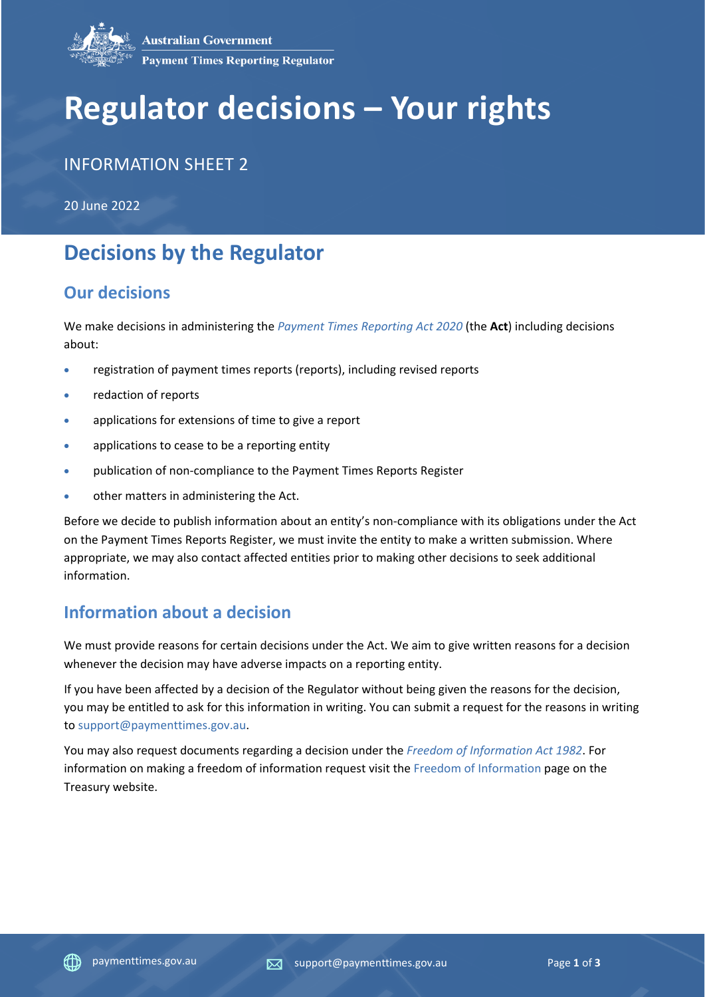

# **Regulator decisions – Your rights**

## INFORMATION SHEET 2

20 June 2022

## **Decisions by the Regulator**

### **Our decisions**

We make decisions in administering the *[Payment Times Reporting Act 2020](https://www.legislation.gov.au/Details/C2022C00116)* (the **Act**) including decisions about:

- registration of payment times reports (reports), including revised reports
- redaction of reports
- applications for extensions of time to give a report
- applications to cease to be a reporting entity
- publication of non-compliance to the Payment Times Reports Register
- other matters in administering the Act.

Before we decide to publish information about an entity's non-compliance with its obligations under the Act on the Payment Times Reports Register, we must invite the entity to make a written submission. Where appropriate, we may also contact affected entities prior to making other decisions to seek additional information.

## **Information about a decision**

We must provide reasons for certain decisions under the Act. We aim to give written reasons for a decision whenever the decision may have adverse impacts on a reporting entity.

If you have been affected by a decision of the Regulator without being given the reasons for the decision, you may be entitled to ask for this information in writing. You can submit a request for the reasons in writing to [support@paymenttimes.gov.au.](mailto:support@paymenttimes.gov.au?subject=Request%20for%20reasons%20about%20a%20decision)

You may also request documents regarding a decision under the *[Freedom of Information Act 1982](https://www.legislation.gov.au/Details/C2022C00154)*. For information on making a freedom of information request visit the [Freedom of Information](https://treasury.gov.au/the-department/accountability-reporting/foi) page on the Treasury website.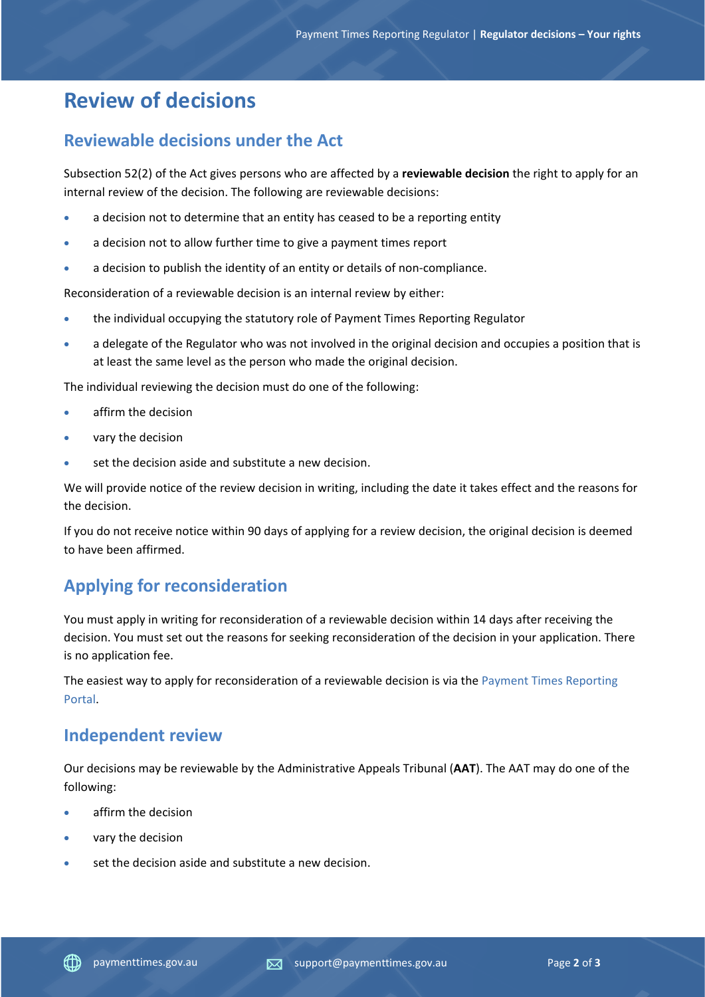## **Review of decisions**

#### **Reviewable decisions under the Act**

Subsection 52(2) of the Act gives persons who are affected by a **reviewable decision** the right to apply for an internal review of the decision. The following are reviewable decisions:

- a decision not to determine that an entity has ceased to be a reporting entity
- a decision not to allow further time to give a payment times report
- a decision to publish the identity of an entity or details of non-compliance.

Reconsideration of a reviewable decision is an internal review by either:

- the individual occupying the statutory role of Payment Times Reporting Regulator
- a delegate of the Regulator who was not involved in the original decision and occupies a position that is at least the same level as the person who made the original decision.

The individual reviewing the decision must do one of the following:

- affirm the decision
- vary the decision
- set the decision aside and substitute a new decision.

We will provide notice of the review decision in writing, including the date it takes effect and the reasons for the decision.

If you do not receive notice within 90 days of applying for a review decision, the original decision is deemed to have been affirmed.

## **Applying for reconsideration**

You must apply in writing for reconsideration of a reviewable decision within 14 days after receiving the decision. You must set out the reasons for seeking reconsideration of the decision in your application. There is no application fee.

The easiest way to apply for reconsideration of a reviewable decision is via the [Payment Times Reporting](https://portal.paymenttimes.gov.au/)  [Portal.](https://portal.paymenttimes.gov.au/)

#### **Independent review**

Our decisions may be reviewable by the Administrative Appeals Tribunal (**AAT**). The AAT may do one of the following:

- affirm the decision
- vary the decision
- set the decision aside and substitute a new decision.